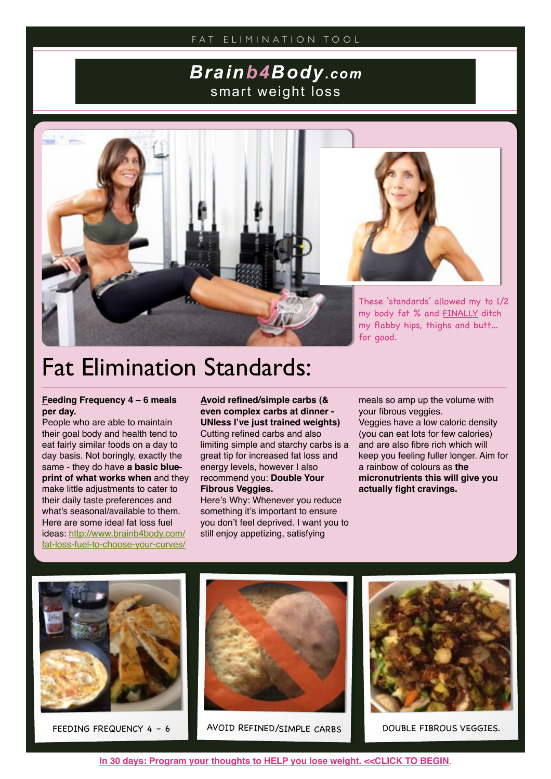### *Brainb4Body.com* smart weight loss



# Fat Elimination Standards:

### **Feeding Frequency 4 – 6 meals per day.**

People who are able to maintain their goal body and health tend to eat fairly similar foods on a day to day basis. Not boringly, exactly the same - they do have **a basic blueprint of what works when** and they make little adjustments to cater to their daily taste preferences and what's seasonal/available to them. Here are some ideal fat loss fuel ideas: [http://www.brainb4body.com/](http://www.brainb4body.com/fat-loss-fuel-to-choose-your-curves/) [fat-loss-fuel-to-choose-your-curves/](http://www.brainb4body.com/fat-loss-fuel-to-choose-your-curves/)

**Avoid refined/simple carbs (& even complex carbs at dinner - UNless I've just trained weights)** Cutting refined carbs and also limiting simple and starchy carbs is a great tip for increased fat loss and energy levels, however I also recommend you: **Double Your Fibrous Veggies.**

Here's Why: Whenever you reduce something it's important to ensure you don't feel deprived. I want you to still enjoy appetizing, satisfying

meals so amp up the volume with your fibrous veggies. Veggies have a low caloric density

(you can eat lots for few calories) and are also fibre rich which will keep you feeling fuller longer. Aim for a rainbow of colours as **the micronutrients this will give you actually fight cravings.**





FEEDING FREQUENCY 4 - 6 AVOID REFINED/SIMPLE CARBS DOUBLE FIBROUS VEGGIES.

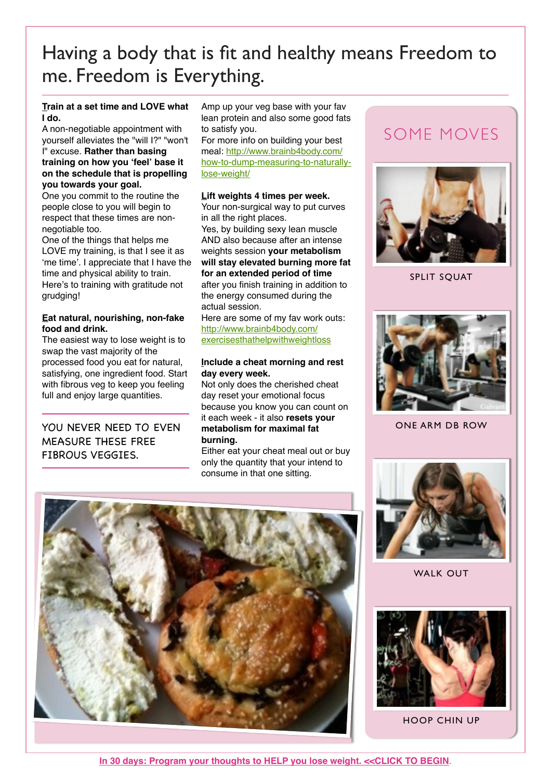### Having a body that is fit and healthy means Freedom to me. Freedom is Everything.

### **Train at a set time and LOVE what I do.**

A non-negotiable appointment with yourself alleviates the "will I?" "won't I" excuse. **Rather than basing training on how you ʻfeel' base it on the schedule that is propelling you towards your goal.**

One you commit to the routine the people close to you will begin to respect that these times are nonnegotiable too.

One of the things that helps me LOVE my training, is that I see it as ʻme time'. I appreciate that I have the time and physical ability to train. Here's to training with gratitude not grudging!

### **Eat natural, nourishing, non-fake food and drink.**

The easiest way to lose weight is to swap the vast majority of the processed food you eat for natural, satisfying, one ingredient food. Start with fibrous veg to keep you feeling full and enjoy large quantities.

### YOU NEVER NEED TO EVEN MEASURE THESE FREE FIBROUS VEGGIES.

Amp up your veg base with your fav lean protein and also some good fats to satisfy you.

For more info on building your best meal: [http://www.brainb4body.com/](http://www.brainb4body.com/how-to-dump-measuring-to-naturally-lose-weight/) [how-to-dump-measuring-to-naturally](http://www.brainb4body.com/how-to-dump-measuring-to-naturally-lose-weight/)[lose-weight/](http://www.brainb4body.com/how-to-dump-measuring-to-naturally-lose-weight/)

### **Lift weights 4 times per week.**

Your non-surgical way to put curves in all the right places.

Yes, by building sexy lean muscle AND also because after an intense weights session **your metabolism will stay elevated burning more fat for an extended period of time** after you finish training in addition to the energy consumed during the actual session.

Here are some of my fav work outs: [http://www.brainb4body.com/](http://www.brainb4body.com/exercisesthathelpwithweightloss) [exercisesthathelpwithweightloss](http://www.brainb4body.com/exercisesthathelpwithweightloss)

### **Include a cheat morning and rest day every week.**

Not only does the cherished cheat day reset your emotional focus because you know you can count on it each week - it also **resets your metabolism for maximal fat burning.**

Either eat your cheat meal out or buy only the quantity that your intend to consume in that one sitting.

### SOME MOVES



SPLIT SQUAT



ONE ARM DB ROW



WALK OUT



HOOP CHIN UP



**[In 30 days: Program your thoughts to HELP you lose weight. <<CLICK TO BEGIN](http://brainb4body.leadpages.net/30daybodytransformation/)**.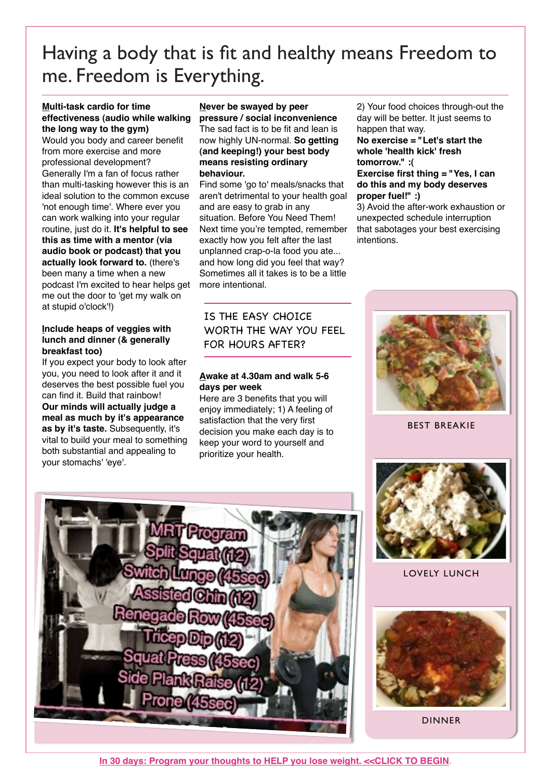## Having a body that is fit and healthy means Freedom to me. Freedom is Everything.

#### **Multi-task cardio for time effectiveness (audio while walking the long way to the gym)**

Would you body and career benefit from more exercise and more professional development? Generally I'm a fan of focus rather than multi-tasking however this is an ideal solution to the common excuse 'not enough time'. Where ever you can work walking into your regular routine, just do it. **It's helpful to see this as time with a mentor (via audio book or podcast) that you actually look forward to.** (there's been many a time when a new podcast I'm excited to hear helps get me out the door to 'get my walk on at stupid o'clock'!)

### **Include heaps of veggies with lunch and dinner (& generally breakfast too)**

If you expect your body to look after you, you need to look after it and it deserves the best possible fuel you can find it. Build that rainbow! **Our minds will actually judge a meal as much by it's appearance as by it's taste.** Subsequently, it's vital to build your meal to something both substantial and appealing to your stomachs' 'eye'.

#### **Never be swayed by peer pressure / social inconvenience** The sad fact is to be fit and lean is now highly UN-normal. **So getting (and keeping!) your best body means resisting ordinary**

**behaviour.**

Find some 'go to' meals/snacks that aren't detrimental to your health goal and are easy to grab in any situation. Before You Need Them! Next time you're tempted, remember exactly how you felt after the last unplanned crap-o-la food you ate... and how long did you feel that way? Sometimes all it takes is to be a little more intentional.

IS THE EASY CHOICE WORTH THE WAY YOU FEEL FOR HOURS AFTER?

### **Awake at 4.30am and walk 5-6 days per week**

Here are 3 benefits that you will enjoy immediately; 1) A feeling of satisfaction that the very first decision you make each day is to keep your word to yourself and prioritize your health.

2) Your food choices through-out the day will be better. It just seems to happen that way.

**No exercise = "Let's start the whole 'health kick' fresh tomorrow." :(**

#### **Exercise first thing = "Yes, I can do this and my body deserves proper fuel!" :)**

3) Avoid the after-work exhaustion or unexpected schedule interruption that sabotages your best exercising intentions.



BEST BREAKIE



LOVELY LUNCH



DINNER